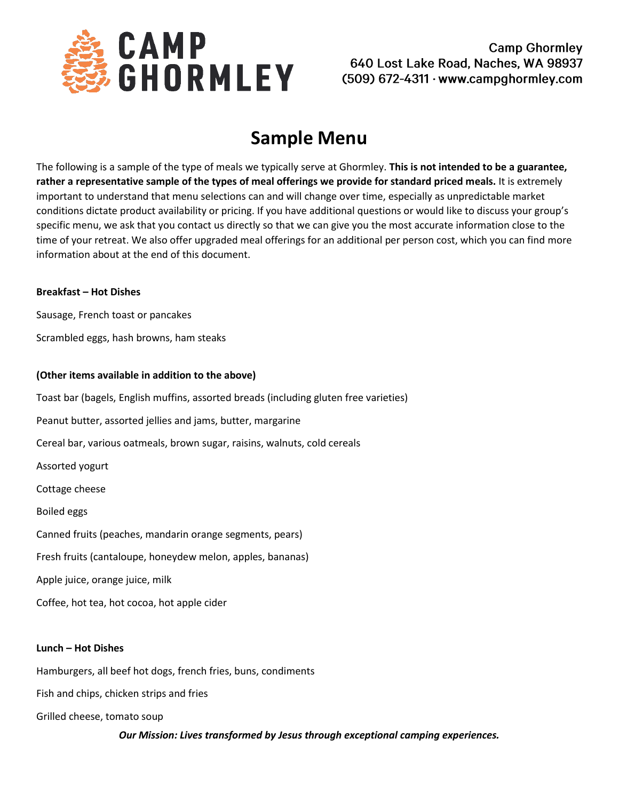

**Camp Ghormley** 640 Lost Lake Road, Naches, WA 98937  $(509)$  672-4311 · www.campghormley.com

# **Sample Menu**

The following is a sample of the type of meals we typically serve at Ghormley. **This is not intended to be a guarantee, rather a representative sample of the types of meal offerings we provide for standard priced meals.** It is extremely important to understand that menu selections can and will change over time, especially as unpredictable market conditions dictate product availability or pricing. If you have additional questions or would like to discuss your group's specific menu, we ask that you contact us directly so that we can give you the most accurate information close to the time of your retreat. We also offer upgraded meal offerings for an additional per person cost, which you can find more information about at the end of this document.

# **Breakfast – Hot Dishes**

Sausage, French toast or pancakes

Scrambled eggs, hash browns, ham steaks

# **(Other items available in addition to the above)**

Toast bar (bagels, English muffins, assorted breads (including gluten free varieties)

Peanut butter, assorted jellies and jams, butter, margarine

Cereal bar, various oatmeals, brown sugar, raisins, walnuts, cold cereals

Assorted yogurt

Cottage cheese

Boiled eggs

Canned fruits (peaches, mandarin orange segments, pears)

Fresh fruits (cantaloupe, honeydew melon, apples, bananas)

Apple juice, orange juice, milk

Coffee, hot tea, hot cocoa, hot apple cider

# **Lunch – Hot Dishes**

Hamburgers, all beef hot dogs, french fries, buns, condiments

Fish and chips, chicken strips and fries

Grilled cheese, tomato soup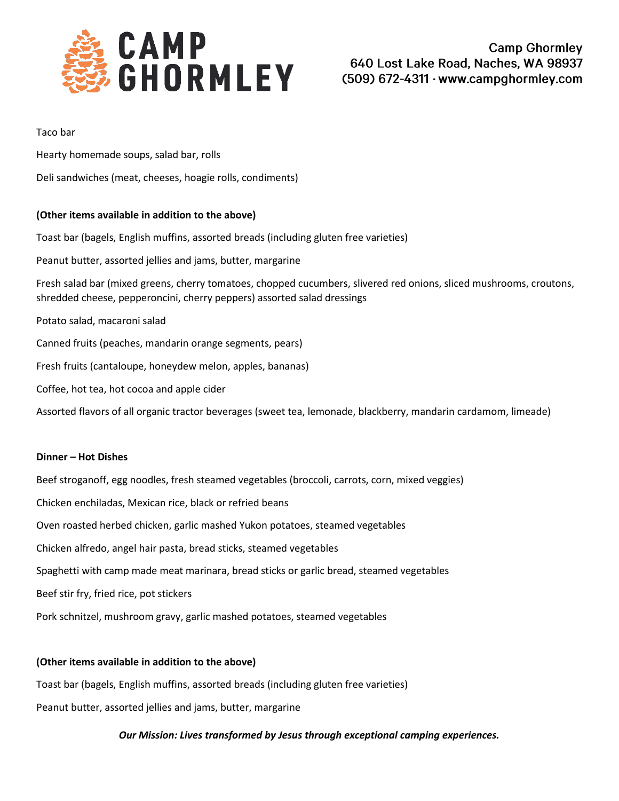

#### Taco bar

Hearty homemade soups, salad bar, rolls

Deli sandwiches (meat, cheeses, hoagie rolls, condiments)

# **(Other items available in addition to the above)**

Toast bar (bagels, English muffins, assorted breads (including gluten free varieties) Peanut butter, assorted jellies and jams, butter, margarine Fresh salad bar (mixed greens, cherry tomatoes, chopped cucumbers, slivered red onions, sliced mushrooms, croutons, shredded cheese, pepperoncini, cherry peppers) assorted salad dressings Potato salad, macaroni salad Canned fruits (peaches, mandarin orange segments, pears) Fresh fruits (cantaloupe, honeydew melon, apples, bananas) Coffee, hot tea, hot cocoa and apple cider Assorted flavors of all organic tractor beverages (sweet tea, lemonade, blackberry, mandarin cardamom, limeade)

# **Dinner – Hot Dishes**

Beef stroganoff, egg noodles, fresh steamed vegetables (broccoli, carrots, corn, mixed veggies) Chicken enchiladas, Mexican rice, black or refried beans Oven roasted herbed chicken, garlic mashed Yukon potatoes, steamed vegetables Chicken alfredo, angel hair pasta, bread sticks, steamed vegetables Spaghetti with camp made meat marinara, bread sticks or garlic bread, steamed vegetables Beef stir fry, fried rice, pot stickers Pork schnitzel, mushroom gravy, garlic mashed potatoes, steamed vegetables

# **(Other items available in addition to the above)**

Toast bar (bagels, English muffins, assorted breads (including gluten free varieties) Peanut butter, assorted jellies and jams, butter, margarine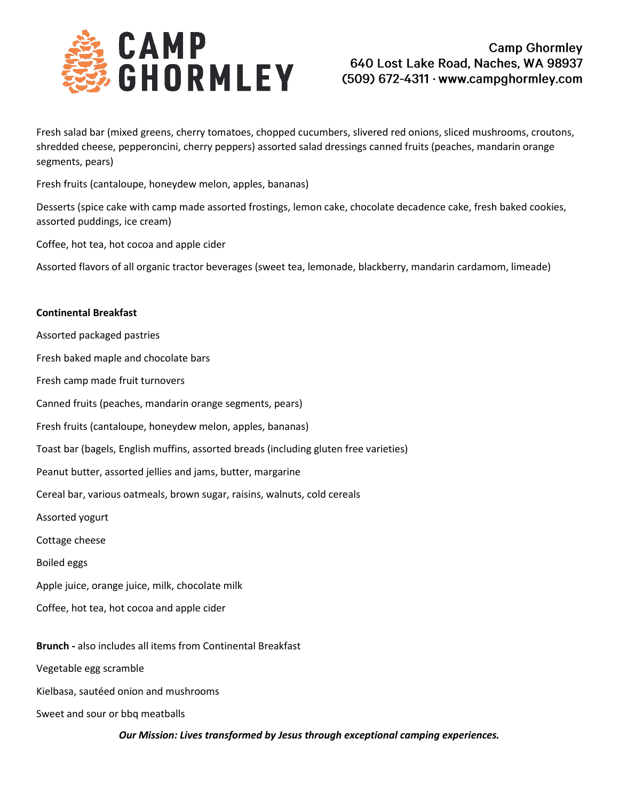

Fresh salad bar (mixed greens, cherry tomatoes, chopped cucumbers, slivered red onions, sliced mushrooms, croutons, shredded cheese, pepperoncini, cherry peppers) assorted salad dressings canned fruits (peaches, mandarin orange segments, pears)

Fresh fruits (cantaloupe, honeydew melon, apples, bananas)

Desserts (spice cake with camp made assorted frostings, lemon cake, chocolate decadence cake, fresh baked cookies, assorted puddings, ice cream)

Coffee, hot tea, hot cocoa and apple cider

Assorted flavors of all organic tractor beverages (sweet tea, lemonade, blackberry, mandarin cardamom, limeade)

#### **Continental Breakfast**

- Assorted packaged pastries Fresh baked maple and chocolate bars
- Fresh camp made fruit turnovers
- Canned fruits (peaches, mandarin orange segments, pears)
- Fresh fruits (cantaloupe, honeydew melon, apples, bananas)
- Toast bar (bagels, English muffins, assorted breads (including gluten free varieties)
- Peanut butter, assorted jellies and jams, butter, margarine
- Cereal bar, various oatmeals, brown sugar, raisins, walnuts, cold cereals
- Assorted yogurt
- Cottage cheese
- Boiled eggs
- Apple juice, orange juice, milk, chocolate milk
- Coffee, hot tea, hot cocoa and apple cider
- **Brunch -** also includes all items from Continental Breakfast
- Vegetable egg scramble
- Kielbasa, sautéed onion and mushrooms
- Sweet and sour or bbq meatballs